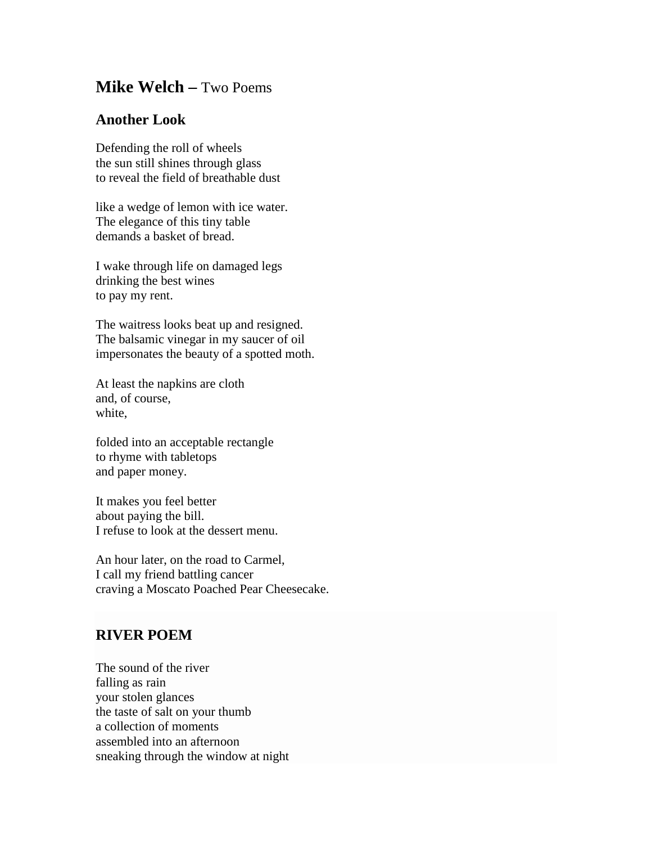## **Mike Welch –** Two Poems

## **Another Look**

Defending the roll of wheels the sun still shines through glass to reveal the field of breathable dust

like a wedge of lemon with ice water. The elegance of this tiny table demands a basket of bread.

I wake through life on damaged legs drinking the best wines to pay my rent.

The waitress looks beat up and resigned. The balsamic vinegar in my saucer of oil impersonates the beauty of a spotted moth.

At least the napkins are cloth and, of course, white,

folded into an acceptable rectangle to rhyme with tabletops and paper money.

It makes you feel better about paying the bill. I refuse to look at the dessert menu.

An hour later, on the road to Carmel, I call my friend battling cancer craving a Moscato Poached Pear Cheesecake.

## **RIVER POEM**

The sound of the river falling as rain your stolen glances the taste of salt on your thumb a collection of moments assembled into an afternoon sneaking through the window at night